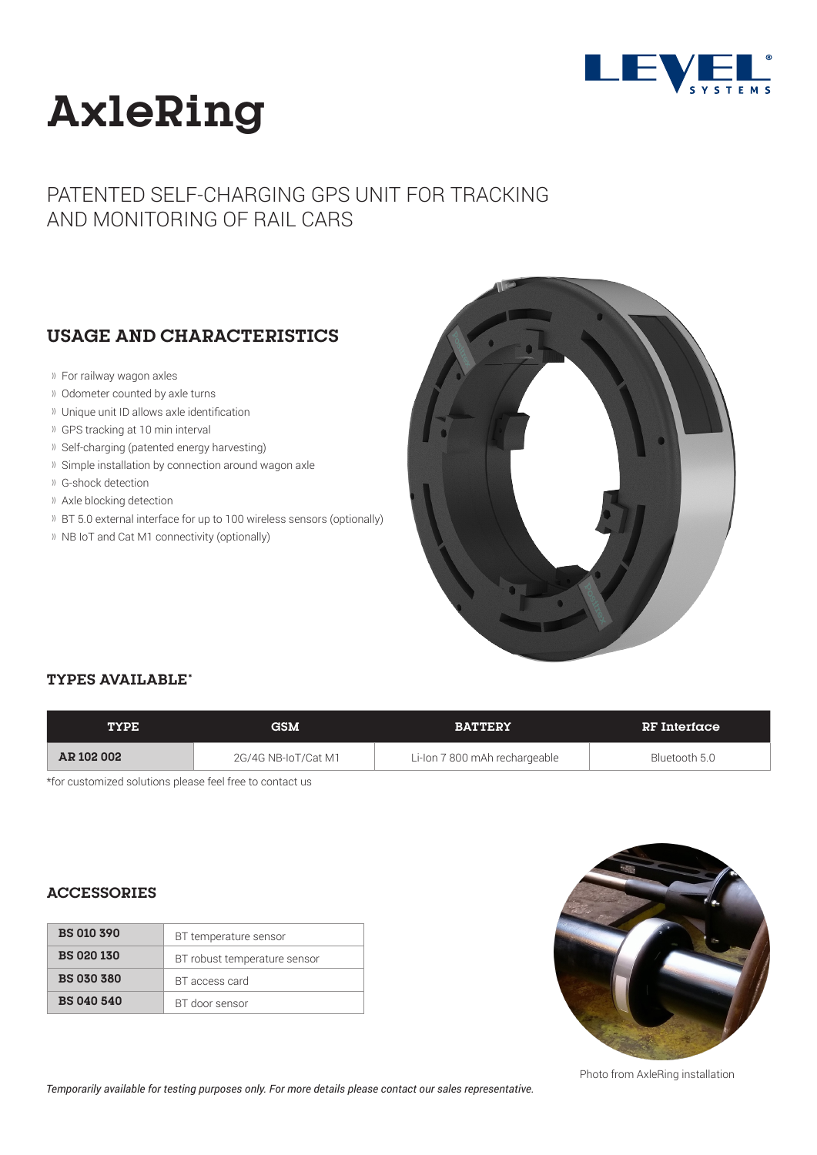

# **AxleRing**

## PATENTED SELF-CHARGING GPS UNIT FOR TRACKING AND MONITORING OF RAIL CARS

### **USAGE AND CHARACTERISTICS**

- For railway wagon axles
- Odometer counted by axle turns
- Unique unit ID allows axle identification
- GPS tracking at 10 min interval
- Self-charging (patented energy harvesting)
- Simple installation by connection around wagon axle
- G-shock detection
- Axle blocking detection
- BT 5.0 external interface for up to 100 wireless sensors (optionally)
- <sup>1)</sup> NB IoT and Cat M1 connectivity (optionally)



#### **TYPES AVAILABLE\***

| <b>TYPE</b> | <b>GSM</b>          | <b>BATTERY</b>                | RF Interface  |
|-------------|---------------------|-------------------------------|---------------|
| AR 102 002  | 2G/4G NB-IoT/Cat M1 | Li-Ion 7 800 mAh rechargeable | Bluetooth 5.0 |

\*for customized solutions please feel free to contact us

#### **ACCESSORIES**

| <b>BS 010 390</b> | BT temperature sensor        |
|-------------------|------------------------------|
| <b>BS 020 130</b> | BT robust temperature sensor |
| <b>BS 030 380</b> | BT access card               |
| <b>BS 040 540</b> | BT door sensor               |



Photo from AxleRing installation

 *Temporarily available for testing purposes only. For more details please contact our sales representative.*